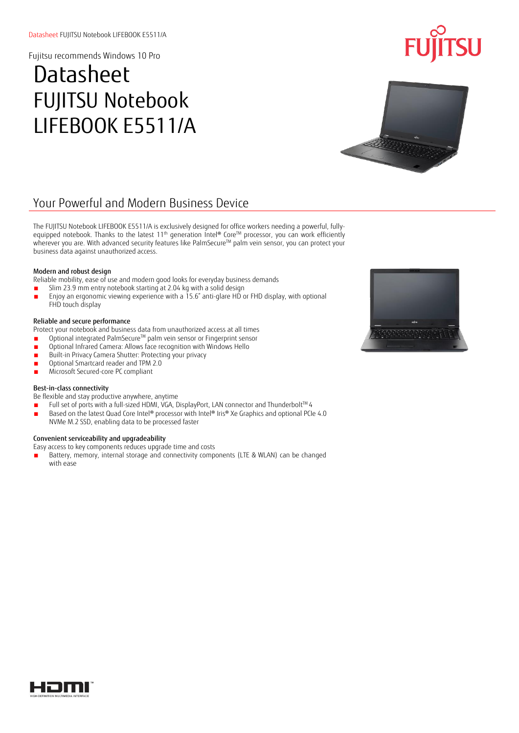## **Datasheet** FUJITSU Notebook LIFEBOOK E5511/A



## Your Powerful and Modern Business Device

The FUJITSU Notebook LIFEBOOK E5511/A is exclusively designed for office workers needing a powerful, fullyequipped notebook. Thanks to the latest 11<sup>th</sup> generation Intel® Core™ processor, you can work efficiently wherever you are. With advanced security features like PalmSecure™ palm vein sensor, you can protect your business data against unauthorized access.

### Modern and robust design

Reliable mobility, ease of use and modern good looks for everyday business demands

- Slim 23.9 mm entry notebook starting at 2.04 kg with a solid design
- Enjoy an ergonomic viewing experience with a 15.6" anti-glare HD or FHD display, with optional FHD touch display

### Reliable and secure performance

Protect your notebook and business data from unauthorized access at all times

- Optional integrated PalmSecure™ palm vein sensor or Fingerprint sensor
- Optional Infrared Camera: Allows face recognition with Windows Hello
- Built-in Privacy Camera Shutter: Protecting your privacy
- Optional Smartcard reader and TPM 2.0
- Microsoft Secured-core PC compliant

### Best-in-class connectivity

Be flexible and stay productive anywhere, anytime

- Full set of ports with a full-sized HDMI, VGA, DisplayPort, LAN connector and Thunderbolt<sup>TM</sup> 4
- Based on the latest Quad Core Intel® processor with Intel® Iris® Xe Graphics and optional PCIe 4.0 NVMe M.2 SSD, enabling data to be processed faster

### Convenient serviceability and upgradeability

Easy access to key components reduces upgrade time and costs

Battery, memory, internal storage and connectivity components (LTE & WLAN) can be changed with ease



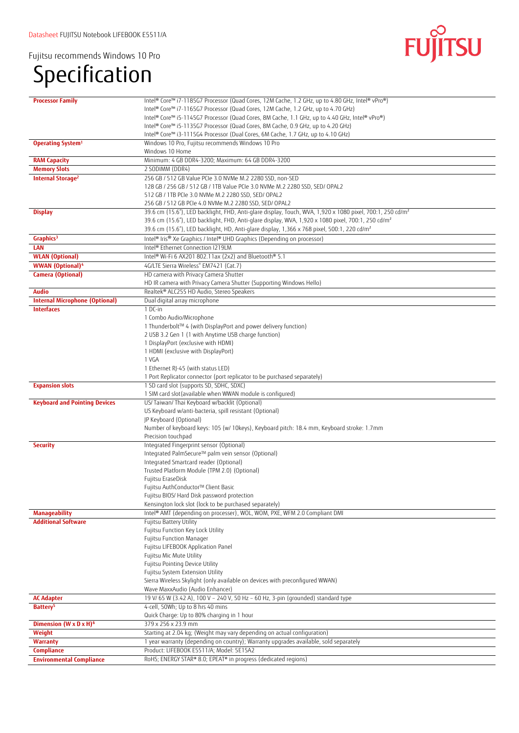# Specification



| <b>Processor Family</b>                              | Intel® Core™ i7-1185G7 Processor (Quad Cores, 12M Cache, 1.2 GHz, up to 4.80 GHz, Intel® vPro®)                       |
|------------------------------------------------------|-----------------------------------------------------------------------------------------------------------------------|
|                                                      | Intel® Core™ i7-1165G7 Processor (Quad Cores, 12M Cache, 1.2 GHz, up to 4.70 GHz)                                     |
|                                                      | Intel® Core™ i5-1145G7 Processor (Quad Cores, 8M Cache, 1.1 GHz, up to 4.40 GHz, Intel® vPro®)                        |
|                                                      | Intel® Core™ i5-1135G7 Processor (Quad Cores, 8M Cache, 0.9 GHz, up to 4.20 GHz)                                      |
|                                                      | Intel® Core™ i3-1115G4 Processor (Dual Cores, 6M Cache, 1.7 GHz, up to 4.10 GHz)                                      |
|                                                      |                                                                                                                       |
| Operating System <sup>1</sup>                        | Windows 10 Pro, Fujitsu recommends Windows 10 Pro                                                                     |
|                                                      | Windows 10 Home                                                                                                       |
| <b>RAM Capacity</b>                                  | Minimum: 4 GB DDR4-3200; Maximum: 64 GB DDR4-3200                                                                     |
| <b>Memory Slots</b>                                  | 2 SODIMM (DDR4)                                                                                                       |
| <b>Internal Storage<sup>2</sup></b>                  | 256 GB / 512 GB Value PCIe 3.0 NVMe M.2 2280 SSD, non-SED                                                             |
|                                                      | 128 GB / 256 GB / 512 GB / 1TB Value PCIe 3.0 NVMe M.2 2280 SSD, SED/ OPAL2                                           |
|                                                      | 512 GB / 1TB PCIe 3.0 NVMe M.2 2280 SSD, SED/ OPAL2                                                                   |
|                                                      | 256 GB / 512 GB PCIe 4.0 NVMe M.2 2280 SSD, SED/ OPAL2                                                                |
| <b>Display</b>                                       | 39.6 cm (15.6"), LED backlight, FHD, Anti-glare display, Touch, WVA, 1,920 x 1080 pixel, 700:1, 250 cd/m <sup>2</sup> |
|                                                      |                                                                                                                       |
|                                                      | 39.6 cm (15.6"), LED backlight, FHD, Anti-glare display, WVA, 1,920 x 1080 pixel, 700:1, 250 cd/m <sup>2</sup>        |
|                                                      | 39.6 cm (15.6"), LED backlight, HD, Anti-glare display, 1,366 x 768 pixel, 500:1, 220 cd/m <sup>2</sup>               |
| Graphics <sup>3</sup>                                | Intel® Iris® Xe Graphics / Intel® UHD Graphics (Depending on processor)                                               |
| LAN                                                  | Intel® Ethernet Connection I219LM                                                                                     |
| <b>WLAN</b> (Optional)                               | Intel® Wi-Fi 6 AX201 802.11ax (2x2) and Bluetooth® 5.1                                                                |
| <b>WWAN</b> (Optional) <sup>4</sup>                  | 4G/LTE Sierra Wireless® EM7421 (Cat.7)                                                                                |
| Camera (Optional)                                    | HD camera with Privacy Camera Shutter                                                                                 |
|                                                      | HD IR camera with Privacy Camera Shutter (Supporting Windows Hello)                                                   |
| <b>Audio</b>                                         | Realtek® ALC255 HD Audio, Stereo Speakers                                                                             |
|                                                      |                                                                                                                       |
| <b>Internal Microphone (Optional)</b>                | Dual digital array microphone                                                                                         |
| <b>Interfaces</b>                                    | 1 DC-in                                                                                                               |
|                                                      | 1 Combo Audio/Microphone                                                                                              |
|                                                      | 1 Thunderbolt™ 4 (with DisplayPort and power delivery function)                                                       |
|                                                      | 2 USB 3.2 Gen 1 (1 with Anytime USB charge function)                                                                  |
|                                                      | 1 DisplayPort (exclusive with HDMI)                                                                                   |
|                                                      | 1 HDMI (exclusive with DisplayPort)                                                                                   |
|                                                      | 1 VGA                                                                                                                 |
|                                                      | 1 Ethernet RJ-45 (with status LED)                                                                                    |
|                                                      | 1 Port Replicator connector (port replicator to be purchased separately)                                              |
| <b>Expansion slots</b>                               | 1 SD card slot (supports SD, SDHC, SDXC)                                                                              |
|                                                      | 1 SIM card slot(available when WWAN module is configured)                                                             |
| <b>Keyboard and Pointing Devices</b>                 | US/Taiwan/Thai Keyboard w/backlit (Optional)                                                                          |
|                                                      | US Keyboard w/anti-bacteria, spill resistant (Optional)                                                               |
|                                                      | JP Keyboard (Optional)                                                                                                |
|                                                      |                                                                                                                       |
|                                                      | Number of keyboard keys: 105 (w/ 10keys), Keyboard pitch: 18.4 mm, Keyboard stroke: 1.7mm                             |
|                                                      | Precision touchpad                                                                                                    |
| <b>Security</b>                                      | Integrated Fingerprint sensor (Optional)                                                                              |
|                                                      | Integrated PalmSecure™ palm vein sensor (Optional)                                                                    |
|                                                      | Integrated Smartcard reader (Optional)                                                                                |
|                                                      | Trusted Platform Module (TPM 2.0) (Optional)                                                                          |
|                                                      | Fujitsu EraseDisk                                                                                                     |
|                                                      | Fujitsu AuthConductor™ Client Basic                                                                                   |
|                                                      | Fujitsu BIOS/ Hard Disk password protection                                                                           |
|                                                      | Kensington lock slot (lock to be purchased separately)                                                                |
| <b>Manageability</b>                                 | Intel® AMT (depending on processer), WOL, WOM, PXE, WFM 2.0 Compliant DMI                                             |
| <b>Additional Software</b>                           | <b>Fujitsu Battery Utility</b>                                                                                        |
|                                                      | Fujitsu Function Key Lock Utility                                                                                     |
|                                                      | Fujitsu Function Manager                                                                                              |
|                                                      | Fujitsu LIFEBOOK Application Panel                                                                                    |
|                                                      | Fujitsu Mic Mute Utility                                                                                              |
|                                                      |                                                                                                                       |
|                                                      | Fujitsu Pointing Device Utility                                                                                       |
|                                                      | Fujitsu System Extension Utility                                                                                      |
|                                                      | Sierra Wireless Skylight (only available on devices with preconfigured WWAN)                                          |
|                                                      | Wave MaxxAudio (Audio Enhancer)                                                                                       |
| <b>AC Adapter</b>                                    | 19 V/ 65 W (3.42 A), 100 V - 240 V, 50 Hz - 60 Hz, 3-pin (grounded) standard type                                     |
| Battery <sup>5</sup>                                 |                                                                                                                       |
|                                                      | 4-cell, 50Wh; Up to 8 hrs 40 mins                                                                                     |
|                                                      |                                                                                                                       |
|                                                      | Quick Charge: Up to 80% charging in 1 hour                                                                            |
| Dimension $(W \times D \times H)^6$                  | 379 x 256 x 23.9 mm                                                                                                   |
| Weight                                               | Starting at 2.04 kg; (Weight may vary depending on actual configuration)                                              |
| <b>Warranty</b>                                      | 1 year warranty (depending on country); Warranty upgrades available, sold separately                                  |
| <b>Compliance</b><br><b>Environmental Compliance</b> | Product: LIFEBOOK E5511/A; Model: 5E15A2<br>RoHS; ENERGY STAR® 8.0; EPEAT® in progress (dedicated regions)            |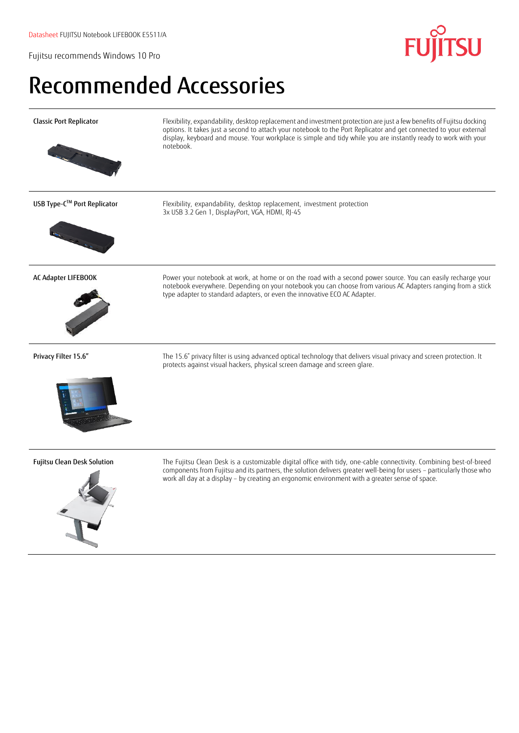## Recommended Accessories